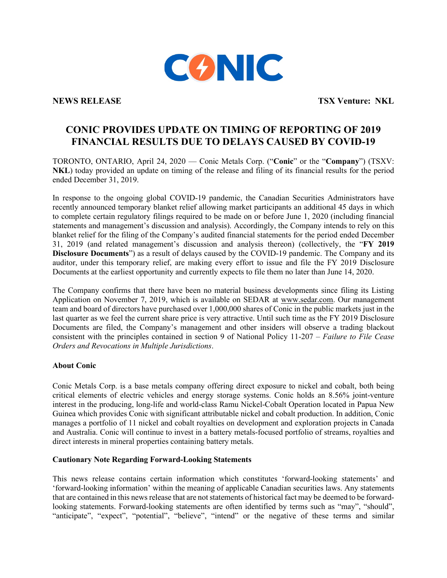

**NEWS RELEASE TSX Venture: NKL**

## **CONIC PROVIDES UPDATE ON TIMING OF REPORTING OF 2019 FINANCIAL RESULTS DUE TO DELAYS CAUSED BY COVID-19**

TORONTO, ONTARIO, April 24, 2020 — Conic Metals Corp. ("**Conic**" or the "**Company**") (TSXV: **NKL**) today provided an update on timing of the release and filing of its financial results for the period ended December 31, 2019.

In response to the ongoing global COVID-19 pandemic, the Canadian Securities Administrators have recently announced temporary blanket relief allowing market participants an additional 45 days in which to complete certain regulatory filings required to be made on or before June 1, 2020 (including financial statements and management's discussion and analysis). Accordingly, the Company intends to rely on this blanket relief for the filing of the Company's audited financial statements for the period ended December 31, 2019 (and related management's discussion and analysis thereon) (collectively, the "**FY 2019 Disclosure Documents**") as a result of delays caused by the COVID-19 pandemic. The Company and its auditor, under this temporary relief, are making every effort to issue and file the FY 2019 Disclosure Documents at the earliest opportunity and currently expects to file them no later than June 14, 2020.

The Company confirms that there have been no material business developments since filing its Listing Application on November 7, 2019, which is available on SEDAR at www.sedar.com. Our management team and board of directors have purchased over 1,000,000 shares of Conic in the public markets just in the last quarter as we feel the current share price is very attractive. Until such time as the FY 2019 Disclosure Documents are filed, the Company's management and other insiders will observe a trading blackout consistent with the principles contained in section 9 of National Policy 11-207 – *Failure to File Cease Orders and Revocations in Multiple Jurisdictions*.

## **About Conic**

Conic Metals Corp. is a base metals company offering direct exposure to nickel and cobalt, both being critical elements of electric vehicles and energy storage systems. Conic holds an 8.56% joint-venture interest in the producing, long-life and world-class Ramu Nickel-Cobalt Operation located in Papua New Guinea which provides Conic with significant attributable nickel and cobalt production. In addition, Conic manages a portfolio of 11 nickel and cobalt royalties on development and exploration projects in Canada and Australia. Conic will continue to invest in a battery metals-focused portfolio of streams, royalties and direct interests in mineral properties containing battery metals.

## **Cautionary Note Regarding Forward-Looking Statements**

This news release contains certain information which constitutes 'forward-looking statements' and 'forward-looking information' within the meaning of applicable Canadian securities laws. Any statements that are contained in this news release that are not statements of historical fact may be deemed to be forwardlooking statements. Forward-looking statements are often identified by terms such as "may", "should", "anticipate", "expect", "potential", "believe", "intend" or the negative of these terms and similar